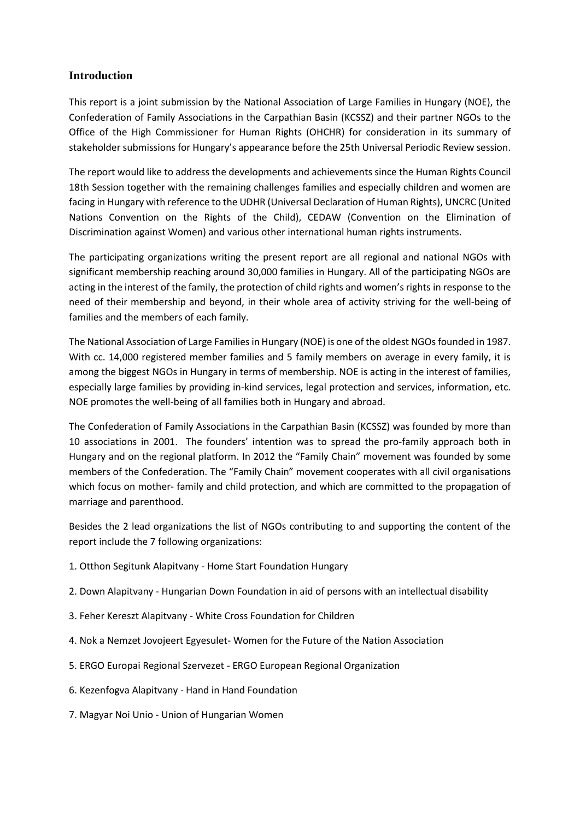## **Introduction**

This report is a joint submission by the National Association of Large Families in Hungary (NOE), the Confederation of Family Associations in the Carpathian Basin (KCSSZ) and their partner NGOs to the Office of the High Commissioner for Human Rights (OHCHR) for consideration in its summary of stakeholder submissions for Hungary's appearance before the 25th Universal Periodic Review session.

The report would like to address the developments and achievements since the Human Rights Council 18th Session together with the remaining challenges families and especially children and women are facing in Hungary with reference to the UDHR (Universal Declaration of Human Rights), UNCRC (United Nations Convention on the Rights of the Child), CEDAW (Convention on the Elimination of Discrimination against Women) and various other international human rights instruments.

The participating organizations writing the present report are all regional and national NGOs with significant membership reaching around 30,000 families in Hungary. All of the participating NGOs are acting in the interest of the family, the protection of child rights and women's rights in response to the need of their membership and beyond, in their whole area of activity striving for the well-being of families and the members of each family.

The National Association of Large Families in Hungary (NOE) is one of the oldest NGOsfounded in 1987. With cc. 14,000 registered member families and 5 family members on average in every family, it is among the biggest NGOs in Hungary in terms of membership. NOE is acting in the interest of families, especially large families by providing in-kind services, legal protection and services, information, etc. NOE promotes the well-being of all families both in Hungary and abroad.

The Confederation of Family Associations in the Carpathian Basin (KCSSZ) was founded by more than 10 associations in 2001. The founders' intention was to spread the pro-family approach both in Hungary and on the regional platform. In 2012 the "Family Chain" movement was founded by some members of the Confederation. The "Family Chain" movement cooperates with all civil organisations which focus on mother- family and child protection, and which are committed to the propagation of marriage and parenthood.

Besides the 2 lead organizations the list of NGOs contributing to and supporting the content of the report include the 7 following organizations:

- 1. Otthon Segitunk Alapitvany Home Start Foundation Hungary
- 2. Down Alapitvany Hungarian Down Foundation in aid of persons with an intellectual disability
- 3. Feher Kereszt Alapitvany White Cross Foundation for Children
- 4. Nok a Nemzet Jovojeert Egyesulet- Women for the Future of the Nation Association
- 5. ERGO Europai Regional Szervezet ERGO European Regional Organization
- 6. Kezenfogva Alapitvany Hand in Hand Foundation
- 7. Magyar Noi Unio Union of Hungarian Women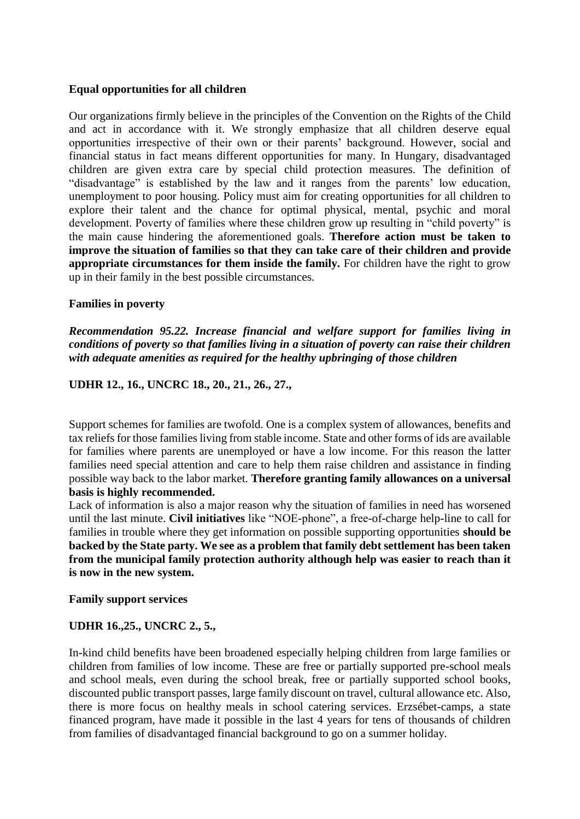#### **Equal opportunities for all children**

Our organizations firmly believe in the principles of the Convention on the Rights of the Child and act in accordance with it. We strongly emphasize that all children deserve equal opportunities irrespective of their own or their parents' background. However, social and financial status in fact means different opportunities for many. In Hungary, disadvantaged children are given extra care by special child protection measures. The definition of "disadvantage" is established by the law and it ranges from the parents' low education, unemployment to poor housing. Policy must aim for creating opportunities for all children to explore their talent and the chance for optimal physical, mental, psychic and moral development. Poverty of families where these children grow up resulting in "child poverty" is the main cause hindering the aforementioned goals. **Therefore action must be taken to improve the situation of families so that they can take care of their children and provide appropriate circumstances for them inside the family.** For children have the right to grow up in their family in the best possible circumstances.

## **Families in poverty**

*Recommendation 95.22. Increase financial and welfare support for families living in conditions of poverty so that families living in a situation of poverty can raise their children with adequate amenities as required for the healthy upbringing of those children*

## **UDHR 12., 16., UNCRC 18., 20., 21., 26., 27.,**

Support schemes for families are twofold. One is a complex system of allowances, benefits and tax reliefs for those families living from stable income. State and other forms of ids are available for families where parents are unemployed or have a low income. For this reason the latter families need special attention and care to help them raise children and assistance in finding possible way back to the labor market. **Therefore granting family allowances on a universal basis is highly recommended.**

Lack of information is also a major reason why the situation of families in need has worsened until the last minute. **Civil initiatives** like "NOE-phone", a free-of-charge help-line to call for families in trouble where they get information on possible supporting opportunities **should be backed by the State party. We see as a problem that family debt settlement has been taken from the municipal family protection authority although help was easier to reach than it is now in the new system.**

**Family support services**

# **UDHR 16.,25., UNCRC 2., 5.,**

In-kind child benefits have been broadened especially helping children from large families or children from families of low income. These are free or partially supported pre-school meals and school meals, even during the school break, free or partially supported school books, discounted public transport passes, large family discount on travel, cultural allowance etc. Also, there is more focus on healthy meals in school catering services. Erzsébet-camps, a state financed program, have made it possible in the last 4 years for tens of thousands of children from families of disadvantaged financial background to go on a summer holiday.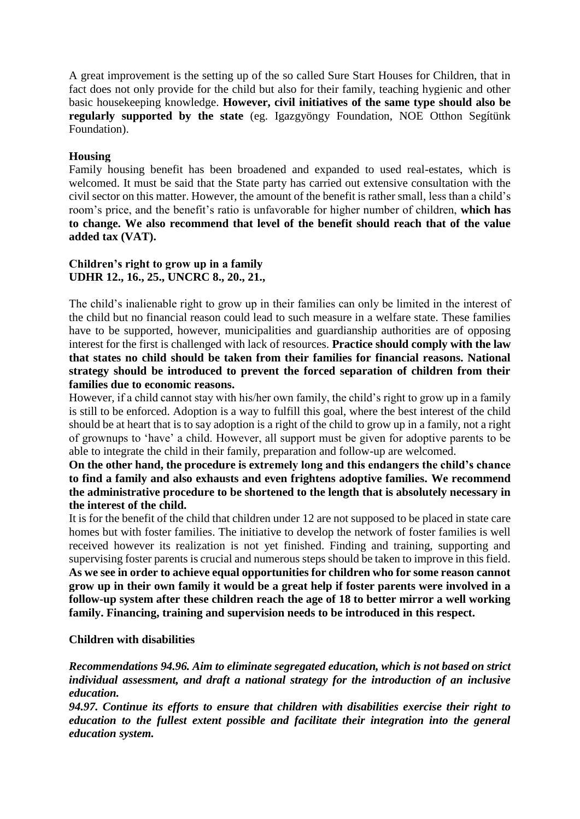A great improvement is the setting up of the so called Sure Start Houses for Children, that in fact does not only provide for the child but also for their family, teaching hygienic and other basic housekeeping knowledge. **However, civil initiatives of the same type should also be regularly supported by the state** (eg. Igazgyöngy Foundation, NOE Otthon Segítünk Foundation).

# **Housing**

Family housing benefit has been broadened and expanded to used real-estates, which is welcomed. It must be said that the State party has carried out extensive consultation with the civil sector on this matter. However, the amount of the benefit is rather small, less than a child's room's price, and the benefit's ratio is unfavorable for higher number of children, **which has to change. We also recommend that level of the benefit should reach that of the value added tax (VAT).**

# **Children's right to grow up in a family UDHR 12., 16., 25., UNCRC 8., 20., 21.,**

The child's inalienable right to grow up in their families can only be limited in the interest of the child but no financial reason could lead to such measure in a welfare state. These families have to be supported, however, municipalities and guardianship authorities are of opposing interest for the first is challenged with lack of resources. **Practice should comply with the law that states no child should be taken from their families for financial reasons. National strategy should be introduced to prevent the forced separation of children from their families due to economic reasons.** 

However, if a child cannot stay with his/her own family, the child's right to grow up in a family is still to be enforced. Adoption is a way to fulfill this goal, where the best interest of the child should be at heart that is to say adoption is a right of the child to grow up in a family, not a right of grownups to 'have' a child. However, all support must be given for adoptive parents to be able to integrate the child in their family, preparation and follow-up are welcomed.

## **On the other hand, the procedure is extremely long and this endangers the child's chance to find a family and also exhausts and even frightens adoptive families. We recommend the administrative procedure to be shortened to the length that is absolutely necessary in the interest of the child.**

It is for the benefit of the child that children under 12 are not supposed to be placed in state care homes but with foster families. The initiative to develop the network of foster families is well received however its realization is not yet finished. Finding and training, supporting and supervising foster parents is crucial and numerous steps should be taken to improve in this field. **As we see in order to achieve equal opportunities for children who for some reason cannot grow up in their own family it would be a great help if foster parents were involved in a follow-up system after these children reach the age of 18 to better mirror a well working family. Financing, training and supervision needs to be introduced in this respect.**

#### **Children with disabilities**

*Recommendations 94.96. Aim to eliminate segregated education, which is not based on strict individual assessment, and draft a national strategy for the introduction of an inclusive education.*

*94.97. Continue its efforts to ensure that children with disabilities exercise their right to education to the fullest extent possible and facilitate their integration into the general education system.*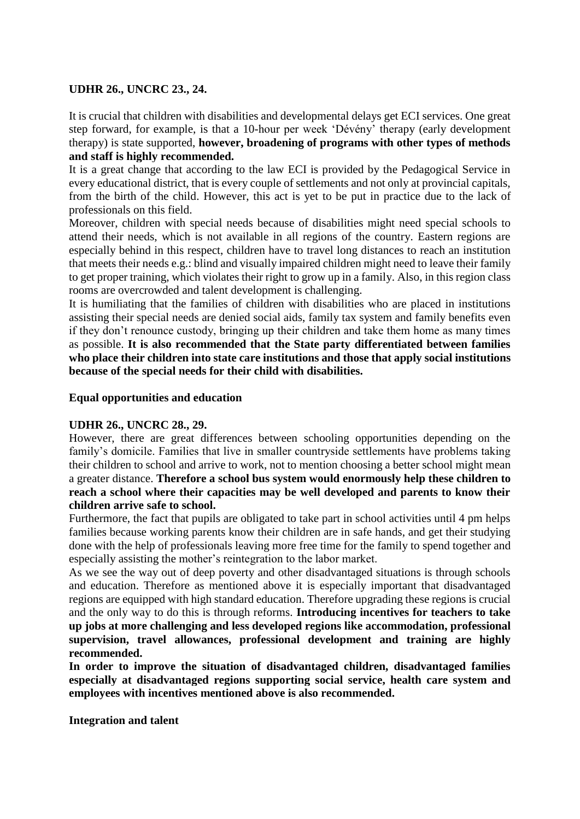### **UDHR 26., UNCRC 23., 24.**

It is crucial that children with disabilities and developmental delays get ECI services. One great step forward, for example, is that a 10-hour per week 'Dévény' therapy (early development therapy) is state supported, **however, broadening of programs with other types of methods and staff is highly recommended.**

It is a great change that according to the law ECI is provided by the Pedagogical Service in every educational district, that is every couple of settlements and not only at provincial capitals, from the birth of the child. However, this act is yet to be put in practice due to the lack of professionals on this field.

Moreover, children with special needs because of disabilities might need special schools to attend their needs, which is not available in all regions of the country. Eastern regions are especially behind in this respect, children have to travel long distances to reach an institution that meets their needs e.g.: blind and visually impaired children might need to leave their family to get proper training, which violates their right to grow up in a family. Also, in this region class rooms are overcrowded and talent development is challenging.

It is humiliating that the families of children with disabilities who are placed in institutions assisting their special needs are denied social aids, family tax system and family benefits even if they don't renounce custody, bringing up their children and take them home as many times as possible. **It is also recommended that the State party differentiated between families who place their children into state care institutions and those that apply social institutions because of the special needs for their child with disabilities.**

## **Equal opportunities and education**

#### **UDHR 26., UNCRC 28., 29.**

However, there are great differences between schooling opportunities depending on the family's domicile. Families that live in smaller countryside settlements have problems taking their children to school and arrive to work, not to mention choosing a better school might mean a greater distance. **Therefore a school bus system would enormously help these children to reach a school where their capacities may be well developed and parents to know their children arrive safe to school.**

Furthermore, the fact that pupils are obligated to take part in school activities until 4 pm helps families because working parents know their children are in safe hands, and get their studying done with the help of professionals leaving more free time for the family to spend together and especially assisting the mother's reintegration to the labor market.

As we see the way out of deep poverty and other disadvantaged situations is through schools and education. Therefore as mentioned above it is especially important that disadvantaged regions are equipped with high standard education. Therefore upgrading these regions is crucial and the only way to do this is through reforms. **Introducing incentives for teachers to take up jobs at more challenging and less developed regions like accommodation, professional supervision, travel allowances, professional development and training are highly recommended.**

**In order to improve the situation of disadvantaged children, disadvantaged families especially at disadvantaged regions supporting social service, health care system and employees with incentives mentioned above is also recommended.**

**Integration and talent**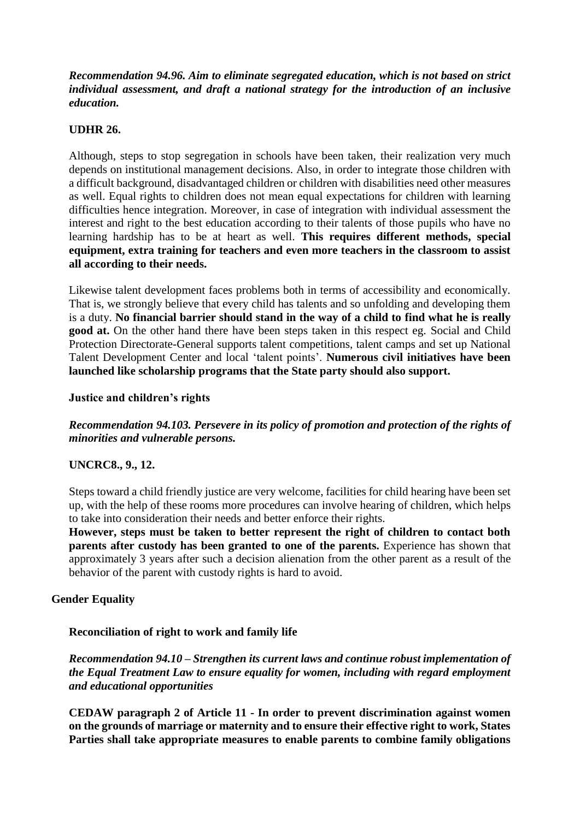*Recommendation 94.96. Aim to eliminate segregated education, which is not based on strict individual assessment, and draft a national strategy for the introduction of an inclusive education.*

## **UDHR 26.**

Although, steps to stop segregation in schools have been taken, their realization very much depends on institutional management decisions. Also, in order to integrate those children with a difficult background, disadvantaged children or children with disabilities need other measures as well. Equal rights to children does not mean equal expectations for children with learning difficulties hence integration. Moreover, in case of integration with individual assessment the interest and right to the best education according to their talents of those pupils who have no learning hardship has to be at heart as well. **This requires different methods, special equipment, extra training for teachers and even more teachers in the classroom to assist all according to their needs.**

Likewise talent development faces problems both in terms of accessibility and economically. That is, we strongly believe that every child has talents and so unfolding and developing them is a duty. **No financial barrier should stand in the way of a child to find what he is really good at.** On the other hand there have been steps taken in this respect eg. Social and Child Protection Directorate-General supports talent competitions, talent camps and set up National Talent Development Center and local 'talent points'. **Numerous civil initiatives have been launched like scholarship programs that the State party should also support.**

## **Justice and children's rights**

*Recommendation 94.103. Persevere in its policy of promotion and protection of the rights of minorities and vulnerable persons.*

# **UNCRC8., 9., 12.**

Steps toward a child friendly justice are very welcome, facilities for child hearing have been set up, with the help of these rooms more procedures can involve hearing of children, which helps to take into consideration their needs and better enforce their rights.

**However, steps must be taken to better represent the right of children to contact both parents after custody has been granted to one of the parents.** Experience has shown that approximately 3 years after such a decision alienation from the other parent as a result of the behavior of the parent with custody rights is hard to avoid.

#### **Gender Equality**

#### **Reconciliation of right to work and family life**

*Recommendation 94.10 – Strengthen its current laws and continue robust implementation of the Equal Treatment Law to ensure equality for women, including with regard employment and educational opportunities*

**CEDAW paragraph 2 of Article 11 - In order to prevent discrimination against women on the grounds of marriage or maternity and to ensure their effective right to work, States Parties shall take appropriate measures to enable parents to combine family obligations**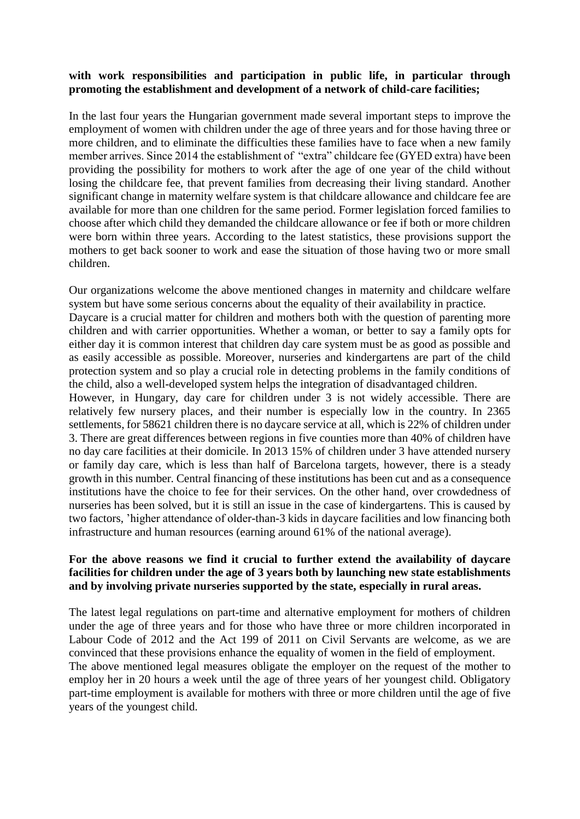# **with work responsibilities and participation in public life, in particular through promoting the establishment and development of a network of child-care facilities;**

In the last four years the Hungarian government made several important steps to improve the employment of women with children under the age of three years and for those having three or more children, and to eliminate the difficulties these families have to face when a new family member arrives. Since 2014 the establishment of "extra" childcare fee (GYED extra) have been providing the possibility for mothers to work after the age of one year of the child without losing the childcare fee, that prevent families from decreasing their living standard. Another significant change in maternity welfare system is that childcare allowance and childcare fee are available for more than one children for the same period. Former legislation forced families to choose after which child they demanded the childcare allowance or fee if both or more children were born within three years. According to the latest statistics, these provisions support the mothers to get back sooner to work and ease the situation of those having two or more small children.

Our organizations welcome the above mentioned changes in maternity and childcare welfare system but have some serious concerns about the equality of their availability in practice. Daycare is a crucial matter for children and mothers both with the question of parenting more children and with carrier opportunities. Whether a woman, or better to say a family opts for either day it is common interest that children day care system must be as good as possible and as easily accessible as possible. Moreover, nurseries and kindergartens are part of the child protection system and so play a crucial role in detecting problems in the family conditions of the child, also a well-developed system helps the integration of disadvantaged children.

However, in Hungary, day care for children under 3 is not widely accessible. There are relatively few nursery places, and their number is especially low in the country. In 2365 settlements, for 58621 children there is no daycare service at all, which is 22% of children under 3. There are great differences between regions in five counties more than 40% of children have no day care facilities at their domicile. In 2013 15% of children under 3 have attended nursery or family day care, which is less than half of Barcelona targets, however, there is a steady growth in this number*.* Central financing of these institutions has been cut and as a consequence institutions have the choice to fee for their services. On the other hand, over crowdedness of nurseries has been solved, but it is still an issue in the case of kindergartens. This is caused by two factors, 'higher attendance of older-than-3 kids in daycare facilities and low financing both infrastructure and human resources (earning around 61% of the national average).

## **For the above reasons we find it crucial to further extend the availability of daycare facilities for children under the age of 3 years both by launching new state establishments and by involving private nurseries supported by the state, especially in rural areas.**

The latest legal regulations on part-time and alternative employment for mothers of children under the age of three years and for those who have three or more children incorporated in Labour Code of 2012 and the Act 199 of 2011 on Civil Servants are welcome, as we are convinced that these provisions enhance the equality of women in the field of employment. The above mentioned legal measures obligate the employer on the request of the mother to employ her in 20 hours a week until the age of three years of her youngest child. Obligatory part-time employment is available for mothers with three or more children until the age of five years of the youngest child.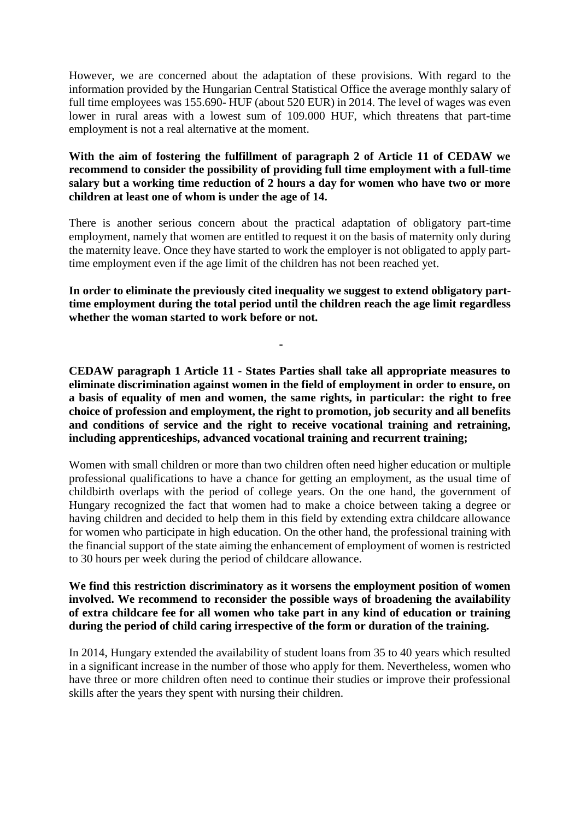However, we are concerned about the adaptation of these provisions. With regard to the information provided by the Hungarian Central Statistical Office the average monthly salary of full time employees was 155.690- HUF (about 520 EUR) in 2014. The level of wages was even lower in rural areas with a lowest sum of 109.000 HUF, which threatens that part-time employment is not a real alternative at the moment.

## **With the aim of fostering the fulfillment of paragraph 2 of Article 11 of CEDAW we recommend to consider the possibility of providing full time employment with a full-time salary but a working time reduction of 2 hours a day for women who have two or more children at least one of whom is under the age of 14.**

There is another serious concern about the practical adaptation of obligatory part-time employment, namely that women are entitled to request it on the basis of maternity only during the maternity leave. Once they have started to work the employer is not obligated to apply parttime employment even if the age limit of the children has not been reached yet.

**In order to eliminate the previously cited inequality we suggest to extend obligatory parttime employment during the total period until the children reach the age limit regardless whether the woman started to work before or not.**

**-**

**CEDAW paragraph 1 Article 11 - States Parties shall take all appropriate measures to eliminate discrimination against women in the field of employment in order to ensure, on a basis of equality of men and women, the same rights, in particular: the right to free choice of profession and employment, the right to promotion, job security and all benefits and conditions of service and the right to receive vocational training and retraining, including apprenticeships, advanced vocational training and recurrent training;**

Women with small children or more than two children often need higher education or multiple professional qualifications to have a chance for getting an employment, as the usual time of childbirth overlaps with the period of college years. On the one hand, the government of Hungary recognized the fact that women had to make a choice between taking a degree or having children and decided to help them in this field by extending extra childcare allowance for women who participate in high education. On the other hand, the professional training with the financial support of the state aiming the enhancement of employment of women is restricted to 30 hours per week during the period of childcare allowance.

## **We find this restriction discriminatory as it worsens the employment position of women involved. We recommend to reconsider the possible ways of broadening the availability of extra childcare fee for all women who take part in any kind of education or training during the period of child caring irrespective of the form or duration of the training.**

In 2014, Hungary extended the availability of student loans from 35 to 40 years which resulted in a significant increase in the number of those who apply for them. Nevertheless, women who have three or more children often need to continue their studies or improve their professional skills after the years they spent with nursing their children.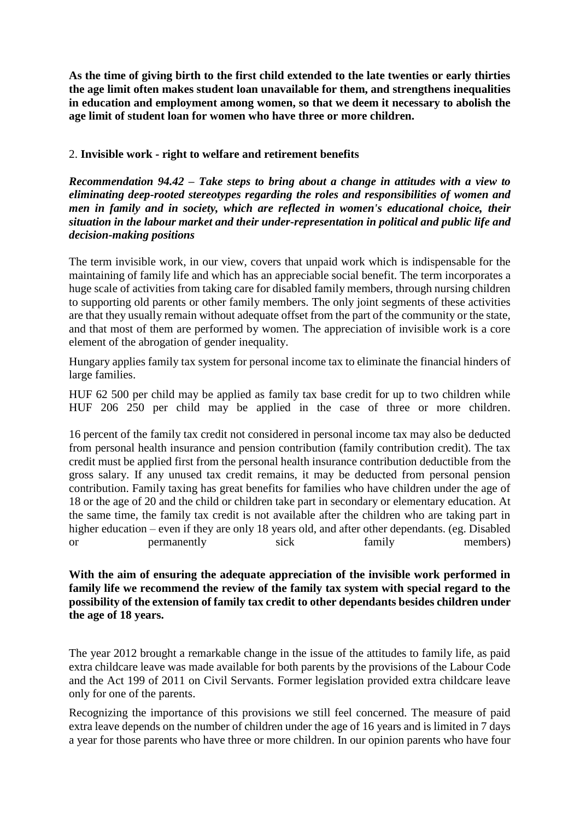**As the time of giving birth to the first child extended to the late twenties or early thirties the age limit often makes student loan unavailable for them, and strengthens inequalities in education and employment among women, so that we deem it necessary to abolish the age limit of student loan for women who have three or more children.**

# 2. **Invisible work - right to welfare and retirement benefits**

*Recommendation 94.42 – Take steps to bring about a change in attitudes with a view to eliminating deep-rooted stereotypes regarding the roles and responsibilities of women and men in family and in society, which are reflected in women's educational choice, their situation in the labour market and their under-representation in political and public life and decision-making positions*

The term invisible work, in our view, covers that unpaid work which is indispensable for the maintaining of family life and which has an appreciable social benefit. The term incorporates a huge scale of activities from taking care for disabled family members, through nursing children to supporting old parents or other family members. The only joint segments of these activities are that they usually remain without adequate offset from the part of the community or the state, and that most of them are performed by women. The appreciation of invisible work is a core element of the abrogation of gender inequality.

Hungary applies family tax system for personal income tax to eliminate the financial hinders of large families.

HUF 62 500 per child may be applied as family tax base credit for up to two children while HUF 206 250 per child may be applied in the case of three or more children.

16 percent of the family tax credit not considered in personal income tax may also be deducted from personal health insurance and pension contribution (family contribution credit). The tax credit must be applied first from the personal health insurance contribution deductible from the gross salary. If any unused tax credit remains, it may be deducted from personal pension contribution. Family taxing has great benefits for families who have children under the age of 18 or the age of 20 and the child or children take part in secondary or elementary education. At the same time, the family tax credit is not available after the children who are taking part in higher education – even if they are only 18 years old, and after other dependants. (eg. Disabled or permanently sick family members)

**With the aim of ensuring the adequate appreciation of the invisible work performed in family life we recommend the review of the family tax system with special regard to the possibility of the extension of family tax credit to other dependants besides children under the age of 18 years.**

The year 2012 brought a remarkable change in the issue of the attitudes to family life, as paid extra childcare leave was made available for both parents by the provisions of the Labour Code and the Act 199 of 2011 on Civil Servants. Former legislation provided extra childcare leave only for one of the parents.

Recognizing the importance of this provisions we still feel concerned. The measure of paid extra leave depends on the number of children under the age of 16 years and is limited in 7 days a year for those parents who have three or more children. In our opinion parents who have four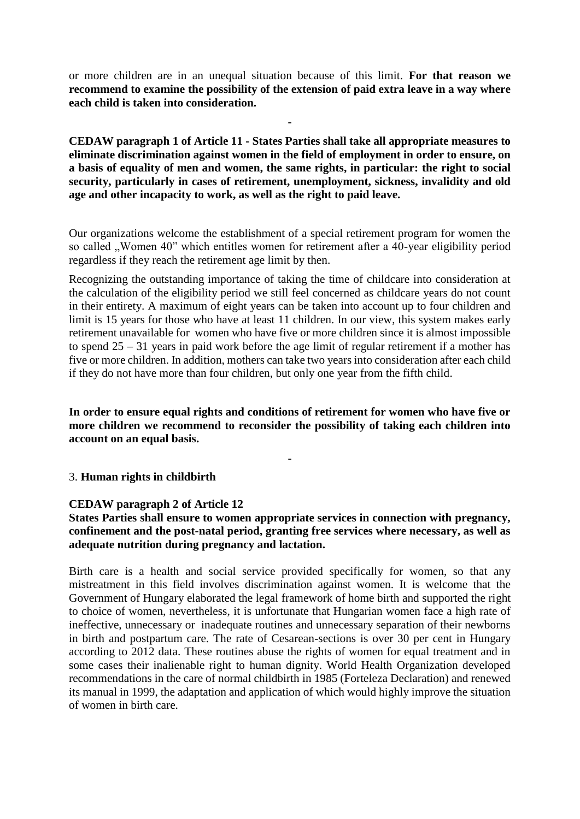or more children are in an unequal situation because of this limit. **For that reason we recommend to examine the possibility of the extension of paid extra leave in a way where each child is taken into consideration.**

**-**

**CEDAW paragraph 1 of Article 11 - States Parties shall take all appropriate measures to eliminate discrimination against women in the field of employment in order to ensure, on a basis of equality of men and women, the same rights, in particular: the right to social security, particularly in cases of retirement, unemployment, sickness, invalidity and old age and other incapacity to work, as well as the right to paid leave.**

Our organizations welcome the establishment of a special retirement program for women the so called . Women 40" which entitles women for retirement after a 40-year eligibility period regardless if they reach the retirement age limit by then.

Recognizing the outstanding importance of taking the time of childcare into consideration at the calculation of the eligibility period we still feel concerned as childcare years do not count in their entirety. A maximum of eight years can be taken into account up to four children and limit is 15 years for those who have at least 11 children. In our view, this system makes early retirement unavailable for women who have five or more children since it is almost impossible to spend  $25 - 31$  years in paid work before the age limit of regular retirement if a mother has five or more children. In addition, mothers can take two years into consideration after each child if they do not have more than four children, but only one year from the fifth child.

**In order to ensure equal rights and conditions of retirement for women who have five or more children we recommend to reconsider the possibility of taking each children into account on an equal basis.**

**-**

#### 3. **Human rights in childbirth**

#### **CEDAW paragraph 2 of Article 12**

# **States Parties shall ensure to women appropriate services in connection with pregnancy, confinement and the post-natal period, granting free services where necessary, as well as adequate nutrition during pregnancy and lactation.**

Birth care is a health and social service provided specifically for women, so that any mistreatment in this field involves discrimination against women. It is welcome that the Government of Hungary elaborated the legal framework of home birth and supported the right to choice of women, nevertheless, it is unfortunate that Hungarian women face a high rate of ineffective, unnecessary or inadequate routines and unnecessary separation of their newborns in birth and postpartum care. The rate of Cesarean-sections is over 30 per cent in Hungary according to 2012 data. These routines abuse the rights of women for equal treatment and in some cases their inalienable right to human dignity. World Health Organization developed recommendations in the care of normal childbirth in 1985 (Forteleza Declaration) and renewed its manual in 1999, the adaptation and application of which would highly improve the situation of women in birth care.